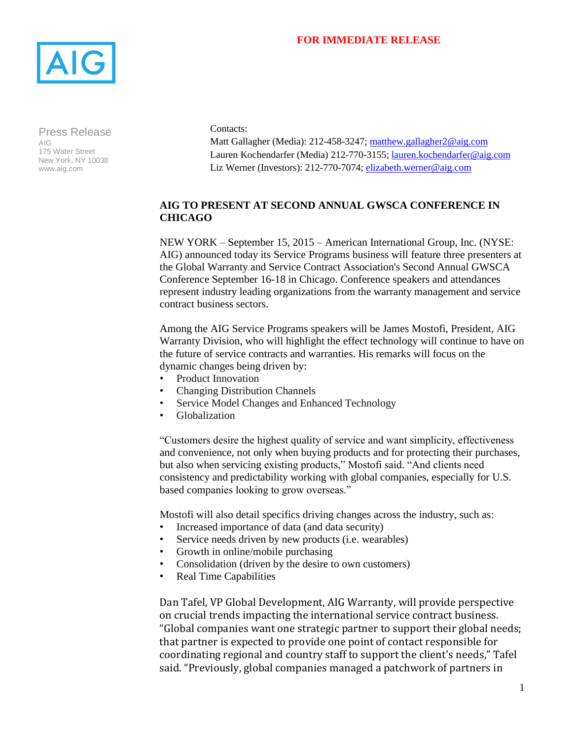## **FOR IMMEDIATE RELEASE**



Press Release AIG 175 Water Street New York, NY 10038 www.aig.com

Contacts:

Matt Gallagher (Media): 212-458-3247; [matthew.gallagher2@aig.com](mailto:matthew.gallagher2@aig.com) Lauren Kochendarfer (Media) 212-770-3155; [lauren.kochendarfer@aig.com](mailto:lauren.kochendarfer@aig.com) Liz Werner (Investors): 212-770-7074; elizabeth.werner@aig.com

## **AIG TO PRESENT AT SECOND ANNUAL GWSCA CONFERENCE IN CHICAGO**

NEW YORK – September 15, 2015 – American International Group, Inc. (NYSE: AIG) announced today its Service Programs business will feature three presenters at the Global Warranty and Service Contract Association's Second Annual GWSCA Conference September 16-18 in Chicago. Conference speakers and attendances represent industry leading organizations from the warranty management and service contract business sectors.

Among the AIG Service Programs speakers will be James Mostofi, President, AIG Warranty Division, who will highlight the effect technology will continue to have on the future of service contracts and warranties. His remarks will focus on the dynamic changes being driven by:

- Product Innovation
- Changing Distribution Channels
- Service Model Changes and Enhanced Technology
- Globalization

"Customers desire the highest quality of service and want simplicity, effectiveness and convenience, not only when buying products and for protecting their purchases, but also when servicing existing products," Mostofi said. "And clients need consistency and predictability working with global companies, especially for U.S. based companies looking to grow overseas."

Mostofi will also detail specifics driving changes across the industry, such as:

- Increased importance of data (and data security)
- Service needs driven by new products (i.e. wearables)
- Growth in online/mobile purchasing
- Consolidation (driven by the desire to own customers)
- Real Time Capabilities

Dan Tafel, VP Global Development, AIG Warranty, will provide perspective on crucial trends impacting the international service contract business. "Global companies want one strategic partner to support their global needs; that partner is expected to provide one point of contact responsible for coordinating regional and country staff to support the client's needs," Tafel said. "Previously, global companies managed a patchwork of partners in